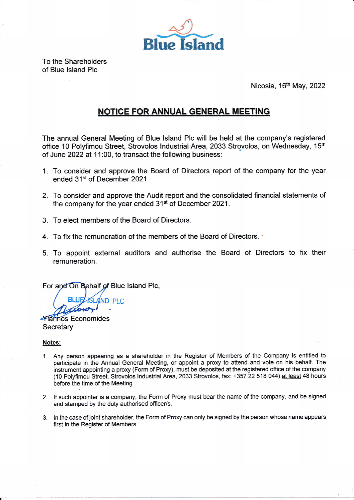

To the Shareholders of Blue lsland Plc

Nicosia, 16<sup>th</sup> May, 2022

## NOTICE FOR ANNUAL GENERAL MEETING

The annual General Meeting of Blue lsland Plc will be held at the company's registered office 10 Polyfimou Street, Strovolos Industrial Area, 2033 Strovolos, on Wednesday, 15<sup>th</sup> of June 2022 at 11:00, to transact the following business:

- 1. To consider and approve the Board of Directors report of the company for the year ended 31st of December 2021.
- 2. To consider and approve the Audit report and the consolidated financial statements of the company for the year ended 31<sup>st</sup> of December 2021.
- 3. To elect members of the Board of Directors.
- 4. To fix the remuneration of the members of the Board of Directors. '
- To appoint external auditors and authorise the Board of Directors to fix their 5.remuneration.

For and On Behalf of Blue Island Plc,

ND PLC

**Mannos Economides Secretary** 

## Notes;

- 1. Any person appearing as a shareholder in the Register of Members of the Company is entitled to participate in the Annual General Meeting, or appoint a proxy to attend and vote on his behalf. The instrument appointing a proxy (Form of Proxy), must be deposited at the registered office of the company (10 Polyfimou Street, Strovolos lndustrial Area, 2033 Strovolos, fax: +357 22 518 044) at least 48 hours before the time of the Meeting.
- 2. lf such appointer is a company, the Form of Proxy must bear the name of the company, and be signed and stamped by the duty authorised officer/s.
- 3. ln the case of joint shareholder, the Form of Proxy can only be signed by the person whose name appears first in the Register of Members.